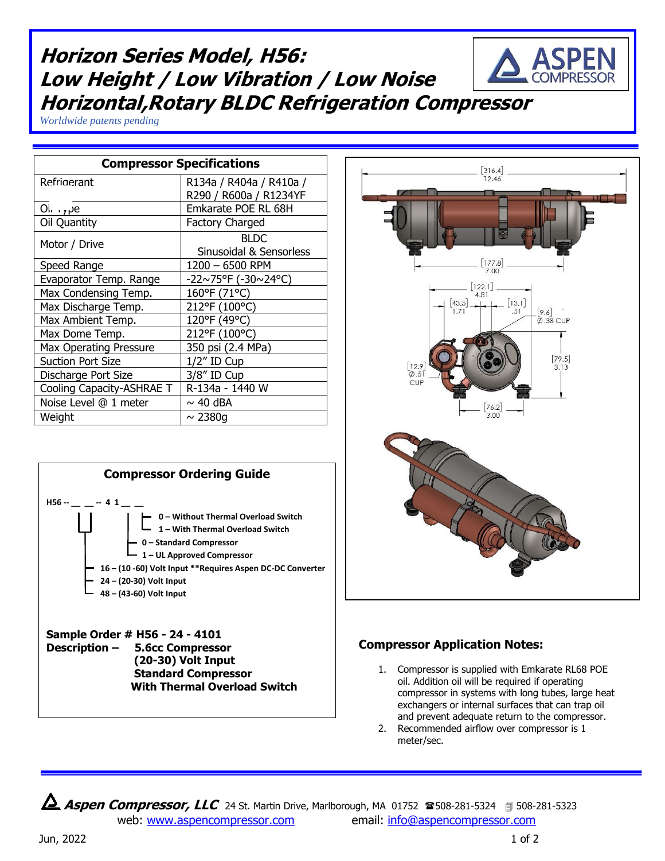## Speed Range 1200 – 6500 RPM Evaporator Temp. Range  $\vert$  -22~75°F (-30~24°C)  $[122.1]$ Max Condensing Temp.  $\vert$  160°F (71°C) 481  $[13.1]$ Max Discharge Temp. | 212°F (100°C)  $[9.6]$ Max Ambient Temp. | 120°F (49°C) 0 38 CUP Max Dome Temp. 212°F (100°C)



**Horizon Series Model, H56:**

**Compressor Specifications** Refrigerant R134a / R404a / R410a /

Suction Port Size **1/2**" ID Cup Discharge Port Size | 3/8" ID Cup

Noise Level  $@1$  meter  $\vert \sim 40$  dBA Weight  $\sim 2380g$ 

*Worldwide patents pending*

**Low Height / Low Vibration / Low Noise**

**Horizontal,Rotary BLDC Refrigeration Compressor**







 $300$ 

 $[316.4]$  $12.46$ 

## **Compressor Application Notes:**

- 1. Compressor is supplied with Emkarate RL68 POE oil. Addition oil will be required if operating compressor in systems with long tubes, large heat exchangers or internal surfaces that can trap oil and prevent adequate return to the compressor.
- 2. Recommended airflow over compressor is 1 meter/sec.

**Aspen Compressor, LLC** 24 St. Martin Drive, Marlborough, MA 01752 <sup>2</sup>508-281-5324 **1**508-281-5323 web: [www.aspencompressor.com](http://www.aspencompressor.com/) email: [info@aspencompressor.com](mailto:klee@aspencompressor.com)